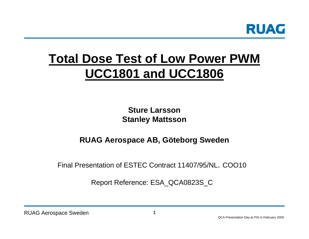

# **Total Dose Test of Low Power PWMUCC1801 and UCC1806**

**Sture LarssonStanley Mattsson**

# **RUAG Aerospace AB, Göteborg Sweden**

Final Presentation of ESTEC Contract 11407/95/NL. COO10

Report Reference: ESA\_QCA0823S\_C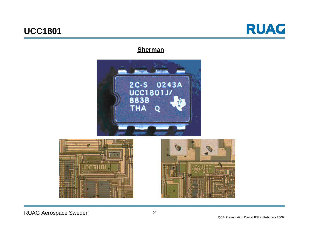

### **Sherman**







RUAG Aerospace Sweden 2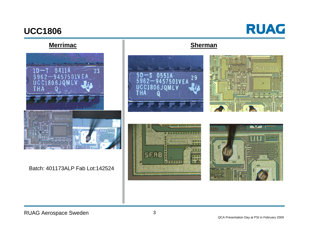

## **Merrimac**



#### Batch: 401173ALP Fab Lot:142524



#### **Sherman**





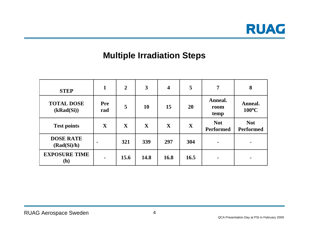

# **Multiple Irradiation Steps**

| <b>STEP</b>                     | 1                 | $\boldsymbol{2}$ | $\mathbf{3}$ | 4    | 5           | 7                              | 8                              |
|---------------------------------|-------------------|------------------|--------------|------|-------------|--------------------------------|--------------------------------|
| <b>TOTAL DOSE</b><br>(kRad(Si)) | <b>Pre</b><br>rad | 5                | 10           | 15   | <b>20</b>   | Anneal.<br>room<br>temp        | Anneal.<br>100°C               |
| <b>Test points</b>              | X                 | $\mathbf X$      | $\mathbf{X}$ | X    | $\mathbf X$ | <b>Not</b><br><b>Performed</b> | <b>Not</b><br><b>Performed</b> |
| <b>DOSE RATE</b><br>(Rad(Si)/h) |                   | 321              | 339          | 297  | 304         | $\blacksquare$                 |                                |
| <b>EXPOSURE TIME</b><br>(h)     | $\blacksquare$    | 15.6             | 14.8         | 16.8 | 16.5        | $\blacksquare$                 |                                |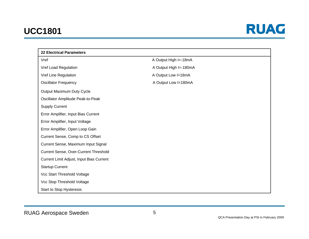

| <b>22 Electrical Parameters</b>          |                        |  |  |  |  |
|------------------------------------------|------------------------|--|--|--|--|
| Vref                                     | A Output High I=-18mA  |  |  |  |  |
| Vref Load Regulation                     | A Output High I=-180mA |  |  |  |  |
| Vref Line Regulation                     | A Output Low I=18mA    |  |  |  |  |
| <b>Oscillator Frequency</b>              | A Output Low I=180mA   |  |  |  |  |
| Output Maximum Duty Cycle                |                        |  |  |  |  |
| Oscillator Amplitude Peak-to-Peak        |                        |  |  |  |  |
| <b>Supply Current</b>                    |                        |  |  |  |  |
| Error Amplifier, Input Bias Current      |                        |  |  |  |  |
| Error Amplifier, Input Voltage           |                        |  |  |  |  |
| Error Amplifier, Open Loop Gain          |                        |  |  |  |  |
| Current Sense, Comp to CS Offset         |                        |  |  |  |  |
| Current Sense, Maximum Input Signal      |                        |  |  |  |  |
| Current Sense, Over-Current Threshold    |                        |  |  |  |  |
| Current Limit Adjust, Input Bias Current |                        |  |  |  |  |
| <b>Startup Current</b>                   |                        |  |  |  |  |
| Vcc Start Threshold Voltage              |                        |  |  |  |  |
| Vcc Stop Threshold Voltage               |                        |  |  |  |  |
| <b>Start to Stop Hysteresis</b>          |                        |  |  |  |  |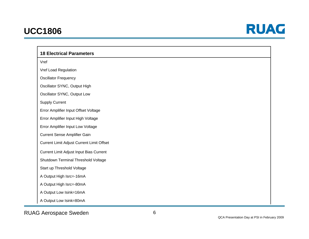

#### **18 Electrical Parameters**

VrefVref Load Regulation Oscillator Frequency Oscillator SYNC, Output High Oscillator SYNC, Output Low Supply Current Error Amplifier Input Offset Voltage Error Amplifier Input High Voltage Error Amplifier Input Low Voltage Current Sense Amplifier Gain Current Limit Adjust Current Limit Offset Current Limit Adjust Input Bias Current Shutdown Terminal Threshold Voltage Start up Threshold Voltage A Output High Isrc=-16mA A Output High Isrc=-80mA A Output Low Isink=16mA A Output Low Isink=80mA

RUAG Aerospace Sweden 6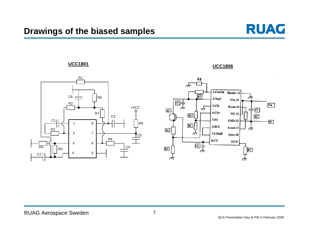



<u><del>L</del> UCC1806</u>

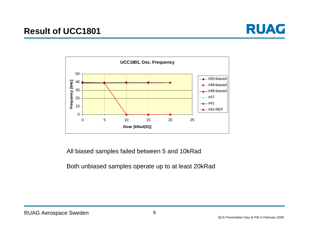



All biased samples failed between 5 and 10kRad

#### Both unbiased samples operate up to at least 20kRad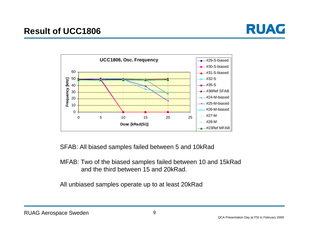



SFAB: All biased samples failed between 5 and 10kRad

### MFAB: Two of the biased samples failed between 10 and 15kRad and the third between 15 and 20kRad.

All unbiased samples operate up to at least 20kRad